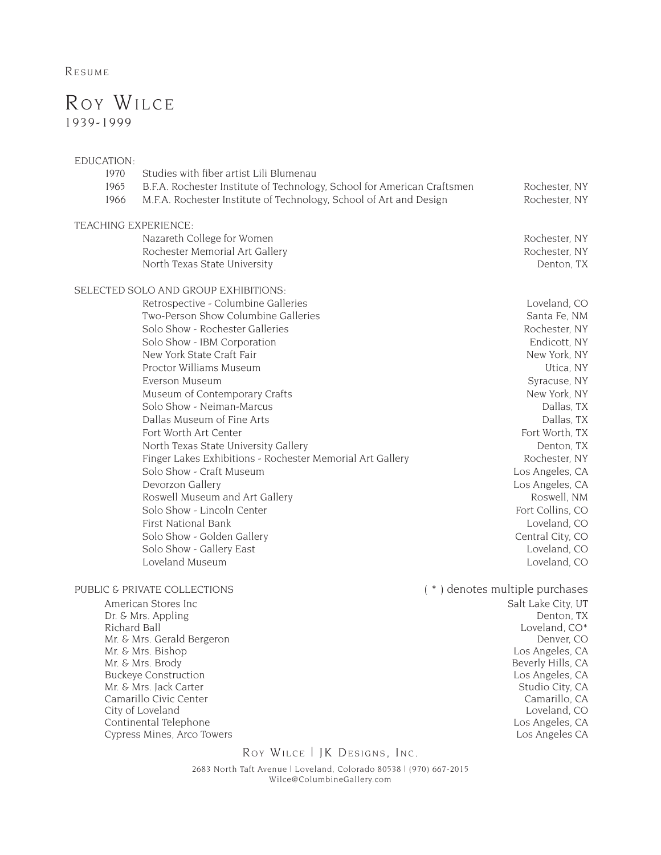**RESUME** 

## Roy Wilce 1939-1999

## EDUCATION:

| 1970                         | Studies with fiber artist Lili Blumenau                                 |                                |
|------------------------------|-------------------------------------------------------------------------|--------------------------------|
| 1965                         | B.F.A. Rochester Institute of Technology, School for American Craftsmen | Rochester, NY                  |
| 1966                         | M.F.A. Rochester Institute of Technology, School of Art and Design      | Rochester, NY                  |
|                              | TEACHING EXPERIENCE:                                                    |                                |
|                              | Nazareth College for Women                                              | Rochester, NY                  |
|                              | Rochester Memorial Art Gallery                                          | Rochester, NY                  |
|                              | North Texas State University                                            | Denton, TX                     |
|                              | SELECTED SOLO AND GROUP EXHIBITIONS:                                    |                                |
|                              | Retrospective - Columbine Galleries                                     | Loveland, CO                   |
|                              | Two-Person Show Columbine Galleries                                     | Santa Fe, NM                   |
|                              | Solo Show - Rochester Galleries                                         | Rochester, NY                  |
|                              | Solo Show - IBM Corporation                                             | Endicott, NY                   |
|                              | New York State Craft Fair                                               | New York, NY                   |
|                              | Proctor Williams Museum                                                 | Utica, NY                      |
|                              | Everson Museum                                                          | Syracuse, NY                   |
|                              | Museum of Contemporary Crafts                                           | New York, NY                   |
|                              | Solo Show - Neiman-Marcus                                               | Dallas, TX                     |
|                              | Dallas Museum of Fine Arts                                              | Dallas, TX                     |
|                              | Fort Worth Art Center                                                   | Fort Worth, TX                 |
|                              | North Texas State University Gallery                                    | Denton, TX                     |
|                              | Finger Lakes Exhibitions - Rochester Memorial Art Gallery               | Rochester, NY                  |
|                              | Solo Show - Craft Museum                                                | Los Angeles, CA                |
|                              | Devorzon Gallery                                                        | Los Angeles, CA                |
|                              | Roswell Museum and Art Gallery                                          | Roswell, NM                    |
|                              | Solo Show - Lincoln Center                                              | Fort Collins, CO               |
|                              | <b>First National Bank</b>                                              | Loveland, CO                   |
|                              | Solo Show - Golden Gallery                                              | Central City, CO               |
|                              | Solo Show - Gallery East                                                | Loveland, CO                   |
|                              | Loveland Museum                                                         | Loveland, CO                   |
| PUBLIC & PRIVATE COLLECTIONS |                                                                         | (*) denotes multiple purchases |
| American Stores Inc          |                                                                         | Salt Lake City, UT             |
| Dr. & Mrs. Appling           |                                                                         | Denton, TX                     |
| Richard Ball                 |                                                                         | Loveland, CO*                  |
|                              | Mr. & Mrs. Gerald Bergeron                                              | Denver, CO                     |
|                              | Mr. & Mrs. Bishop                                                       | Los Angeles, CA                |

Mr. & Mrs. Brody Beverly Hills, CA<br>Buckeye Construction buckeye Construction buckeye Construction Buckeye Construction Mr. & Mrs. Jack Carter Studio City, CA Camarillo City, CA Camarillo City, CA Camarillo City, CA Camarillo City, CA Camarillo City, CA Camarillo City, CA Camarillo City, CA Camarillo City, CA Camarillo City, CA Camarillo Ci Camarillo Civic Center City of Loveland Loveland Loveland, CO<br>
Continental Telephone Loveland, CO<br>
Los Angeles, CA Continental Telephone Los Angeles, CA Cypress Mines, Arco Towers **Continental Telephone** Los Angeles CA Los Angeles CA Los Angeles CA Los Angeles CA Los Angeles CA Los Angeles CA Los Angeles CA Los Angeles CA Los Angeles C Cypress Mines, Arco Towers

ROY WILCE | JK DESIGNS, INC.

2683 North Taft Avenue | Loveland, Colorado 80538 | (970) 667-2015 Wilce@ColumbineGallery.com